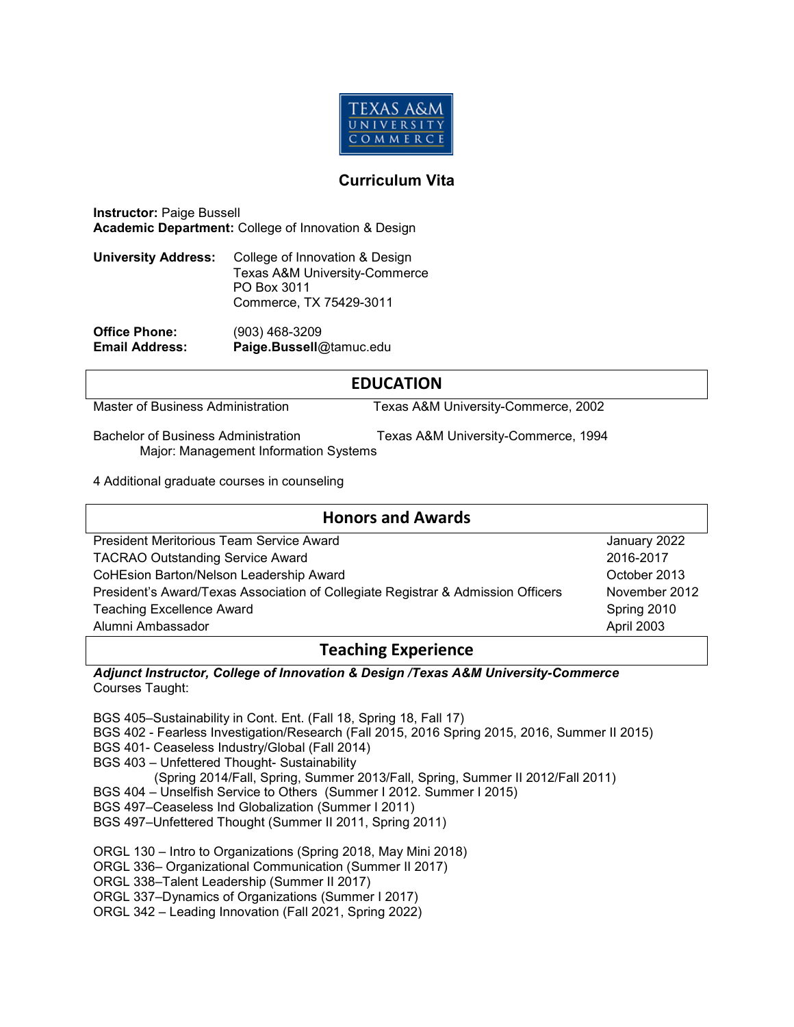

### **Curriculum Vita**

**Instructor:** Paige Bussell **Academic Department:** College of Innovation & Design

| <b>University Address:</b>     | College of Innovation & Design           |
|--------------------------------|------------------------------------------|
|                                | <b>Texas A&amp;M University-Commerce</b> |
|                                | PO Box 3011                              |
|                                | Commerce, TX 75429-3011                  |
| $\bigcap$ <i>if</i> ias Dhanai | <u>NAON LEO DANN</u>                     |

**Office Phone:** (903) 468-3209 **Email Address: Paige.Bussell**@tamuc.edu

## **EDUCATION**

Master of Business Administration Texas A&M University-Commerce, 2002

Bachelor of Business Administration Texas A&M University-Commerce, 1994

Major: Management Information Systems

4 Additional graduate courses in counseling

| <b>Honors and Awards</b>                                                         |               |  |  |
|----------------------------------------------------------------------------------|---------------|--|--|
| President Meritorious Team Service Award                                         | January 2022  |  |  |
| <b>TACRAO Outstanding Service Award</b>                                          | 2016-2017     |  |  |
| CoHEsion Barton/Nelson Leadership Award                                          | October 2013  |  |  |
| President's Award/Texas Association of Collegiate Registrar & Admission Officers | November 2012 |  |  |
| <b>Teaching Excellence Award</b>                                                 | Spring 2010   |  |  |
| Alumni Ambassador                                                                | April 2003    |  |  |

## **Teaching Experience**

*Adjunct Instructor, College of Innovation & Design /Texas A&M University-Commerce*  Courses Taught:

BGS 405–Sustainability in Cont. Ent. (Fall 18, Spring 18, Fall 17)

- BGS 402 Fearless Investigation/Research (Fall 2015, 2016 Spring 2015, 2016, Summer II 2015)
- BGS 401- Ceaseless Industry/Global (Fall 2014)
- BGS 403 Unfettered Thought- Sustainability

(Spring 2014/Fall, Spring, Summer 2013/Fall, Spring, Summer II 2012/Fall 2011)

BGS 404 – Unselfish Service to Others (Summer I 2012. Summer I 2015)

BGS 497–Ceaseless Ind Globalization (Summer I 2011)

BGS 497–Unfettered Thought (Summer II 2011, Spring 2011)

ORGL 130 – Intro to Organizations (Spring 2018, May Mini 2018)

ORGL 336– Organizational Communication (Summer II 2017)

ORGL 338–Talent Leadership (Summer II 2017)

ORGL 337–Dynamics of Organizations (Summer I 2017)

ORGL 342 – Leading Innovation (Fall 2021, Spring 2022)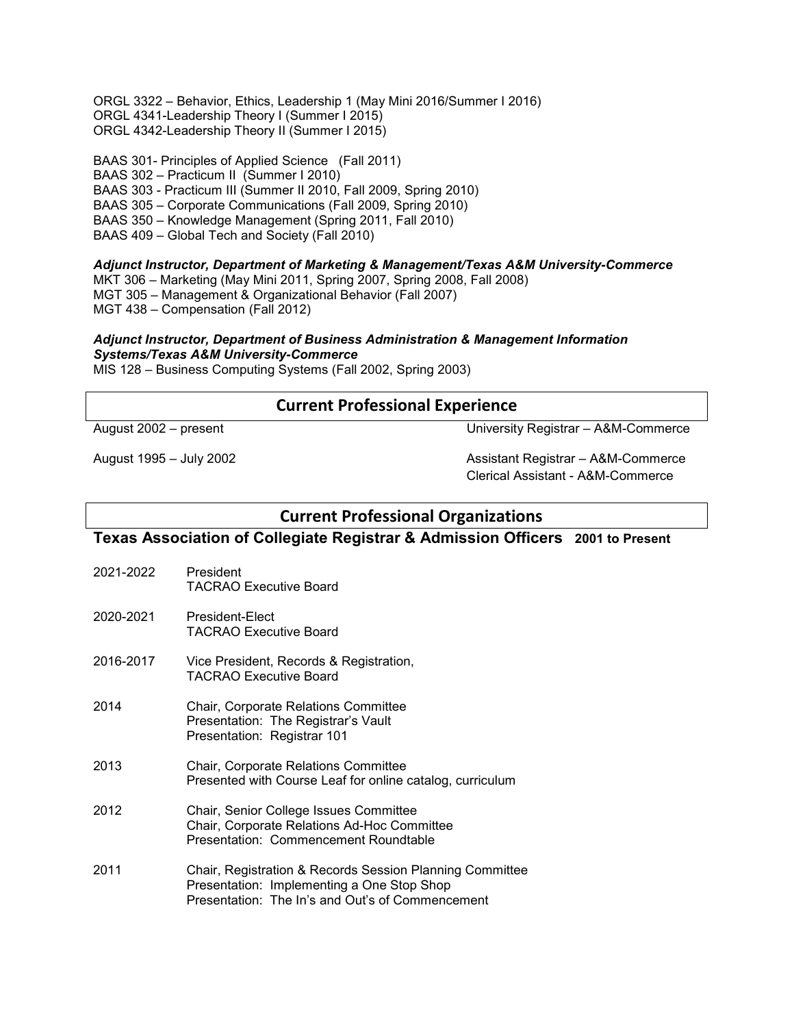ORGL 3322 – Behavior, Ethics, Leadership 1 (May Mini 2016/Summer I 2016) ORGL 4341-Leadership Theory I (Summer I 2015) ORGL 4342-Leadership Theory II (Summer I 2015)

BAAS 301- Principles of Applied Science (Fall 2011) BAAS 302 – Practicum II (Summer I 2010) BAAS 303 - Practicum III (Summer II 2010, Fall 2009, Spring 2010) BAAS 305 – Corporate Communications (Fall 2009, Spring 2010) BAAS 350 – Knowledge Management (Spring 2011, Fall 2010) BAAS 409 – Global Tech and Society (Fall 2010)

*Adjunct Instructor, Department of Marketing & Management/Texas A&M University-Commerce* 

MKT 306 – Marketing (May Mini 2011, Spring 2007, Spring 2008, Fall 2008) MGT 305 – Management & Organizational Behavior (Fall 2007) MGT 438 – Compensation (Fall 2012)

#### *Adjunct Instructor, Department of Business Administration & Management Information Systems/Texas A&M University-Commerce*

MIS 128 – Business Computing Systems (Fall 2002, Spring 2003)

## **Current Professional Experience**

August 2002 – present University Registrar – A&M-Commerce

August 1995 – July 2002 Assistant Registrar – A&M-Commerce Clerical Assistant - A&M-Commerce

# **Current Professional Organizations**

### **Texas Association of Collegiate Registrar & Admission Officers 2001 to Present**

- 2021-2022 President TACRAO Executive Board
- 2020-2021 President-Elect TACRAO Executive Board
- 2016-2017 Vice President, Records & Registration, TACRAO Executive Board
- 2014 Chair, Corporate Relations Committee Presentation: The Registrar's Vault Presentation: Registrar 101
- 2013 Chair, Corporate Relations Committee Presented with Course Leaf for online catalog, curriculum
- 2012 Chair, Senior College Issues Committee Chair, Corporate Relations Ad-Hoc Committee Presentation: Commencement Roundtable
- 2011 Chair, Registration & Records Session Planning Committee Presentation: Implementing a One Stop Shop Presentation: The In's and Out's of Commencement